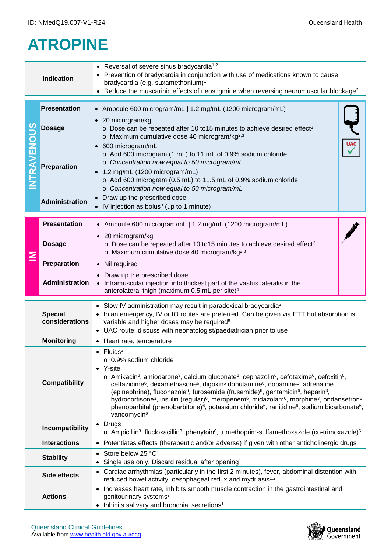## **ATROPINE**

| • Reversal of severe sinus bradycardia <sup>1,2</sup><br>Prevention of bradycardia in conjunction with use of medications known to cause<br><b>Indication</b><br>bradycardia (e.g. suxamethonium) <sup>1</sup> |                                                                                                                                                                                                                                                                                                                                                                                                                                                                                                                                                                                                                                                                                                                                                                                                                                                                                                        |                                                                                                                                                                                                                                                                                                                |  |  |  |  |  |
|----------------------------------------------------------------------------------------------------------------------------------------------------------------------------------------------------------------|--------------------------------------------------------------------------------------------------------------------------------------------------------------------------------------------------------------------------------------------------------------------------------------------------------------------------------------------------------------------------------------------------------------------------------------------------------------------------------------------------------------------------------------------------------------------------------------------------------------------------------------------------------------------------------------------------------------------------------------------------------------------------------------------------------------------------------------------------------------------------------------------------------|----------------------------------------------------------------------------------------------------------------------------------------------------------------------------------------------------------------------------------------------------------------------------------------------------------------|--|--|--|--|--|
|                                                                                                                                                                                                                |                                                                                                                                                                                                                                                                                                                                                                                                                                                                                                                                                                                                                                                                                                                                                                                                                                                                                                        | Reduce the muscarinic effects of neostigmine when reversing neuromuscular blockage <sup>2</sup>                                                                                                                                                                                                                |  |  |  |  |  |
| AVENOUS                                                                                                                                                                                                        | <b>Presentation</b>                                                                                                                                                                                                                                                                                                                                                                                                                                                                                                                                                                                                                                                                                                                                                                                                                                                                                    | Ampoule 600 microgram/mL   1.2 mg/mL (1200 microgram/mL)                                                                                                                                                                                                                                                       |  |  |  |  |  |
|                                                                                                                                                                                                                | <b>Dosage</b>                                                                                                                                                                                                                                                                                                                                                                                                                                                                                                                                                                                                                                                                                                                                                                                                                                                                                          | 20 microgram/kg<br>$\bullet$<br>o Dose can be repeated after 10 to 15 minutes to achieve desired effect <sup>2</sup><br>o Maximum cumulative dose 40 microgram/kg $^{2,3}$                                                                                                                                     |  |  |  |  |  |
|                                                                                                                                                                                                                | <b>Preparation</b>                                                                                                                                                                                                                                                                                                                                                                                                                                                                                                                                                                                                                                                                                                                                                                                                                                                                                     | <b>UAC</b><br>600 microgram/mL<br>$\bullet$<br>o Add 600 microgram (1 mL) to 11 mL of 0.9% sodium chloride<br>o Concentration now equal to 50 microgram/mL<br>1.2 mg/mL (1200 microgram/mL)<br>o Add 600 microgram (0.5 mL) to 11.5 mL of 0.9% sodium chloride<br>o Concentration now equal to 50 microgram/mL |  |  |  |  |  |
|                                                                                                                                                                                                                | <b>Administration</b>                                                                                                                                                                                                                                                                                                                                                                                                                                                                                                                                                                                                                                                                                                                                                                                                                                                                                  | Draw up the prescribed dose<br>IV injection as bolus <sup>3</sup> (up to 1 minute)                                                                                                                                                                                                                             |  |  |  |  |  |
|                                                                                                                                                                                                                | <b>Presentation</b>                                                                                                                                                                                                                                                                                                                                                                                                                                                                                                                                                                                                                                                                                                                                                                                                                                                                                    | • Ampoule 600 microgram/mL   1.2 mg/mL (1200 microgram/mL)                                                                                                                                                                                                                                                     |  |  |  |  |  |
| ≧                                                                                                                                                                                                              | <b>Dosage</b>                                                                                                                                                                                                                                                                                                                                                                                                                                                                                                                                                                                                                                                                                                                                                                                                                                                                                          | • 20 microgram/kg<br>o Dose can be repeated after 10 to 15 minutes to achieve desired effect <sup>2</sup><br>o Maximum cumulative dose 40 microgram/kg <sup>2,3</sup>                                                                                                                                          |  |  |  |  |  |
|                                                                                                                                                                                                                | Preparation                                                                                                                                                                                                                                                                                                                                                                                                                                                                                                                                                                                                                                                                                                                                                                                                                                                                                            | • Nil required                                                                                                                                                                                                                                                                                                 |  |  |  |  |  |
|                                                                                                                                                                                                                | Administration                                                                                                                                                                                                                                                                                                                                                                                                                                                                                                                                                                                                                                                                                                                                                                                                                                                                                         | Draw up the prescribed dose<br>Intramuscular injection into thickest part of the vastus lateralis in the<br>$\bullet$<br>anterolateral thigh (maximum 0.5 mL per site) <sup>4</sup>                                                                                                                            |  |  |  |  |  |
|                                                                                                                                                                                                                | <b>Special</b><br>considerations                                                                                                                                                                                                                                                                                                                                                                                                                                                                                                                                                                                                                                                                                                                                                                                                                                                                       | Slow IV administration may result in paradoxical bradycardia <sup>3</sup><br>In an emergency, IV or IO routes are preferred. Can be given via ETT but absorption is<br>variable and higher doses may be required <sup>5</sup><br>• UAC route: discuss with neonatologist/paediatrician prior to use            |  |  |  |  |  |
|                                                                                                                                                                                                                | <b>Monitoring</b>                                                                                                                                                                                                                                                                                                                                                                                                                                                                                                                                                                                                                                                                                                                                                                                                                                                                                      | • Heart rate, temperature                                                                                                                                                                                                                                                                                      |  |  |  |  |  |
|                                                                                                                                                                                                                | Fluids <sup>3</sup><br>o 0.9% sodium chloride<br>$\bullet$ Y-site<br>$\circ$ Amikacin <sup>6</sup> , amiodarone <sup>3</sup> , calcium gluconate <sup>6</sup> , cephazolin <sup>6</sup> , cefotaxime <sup>6</sup> , cefoxitin <sup>6</sup> ,<br><b>Compatibility</b><br>ceftazidime <sup>6</sup> , dexamethasone <sup>6</sup> , digoxin <sup>6</sup> dobutamine <sup>6</sup> , dopamine <sup>6</sup> , adrenaline<br>(epinephrine), fluconazole <sup>6</sup> , furosemide (frusemide) <sup>6</sup> , gentamicin <sup>6</sup> , heparin <sup>3</sup> ,<br>hydrocortisone <sup>3</sup> , insulin (regular) <sup>6</sup> , meropenem <sup>6</sup> , midazolam <sup>6</sup> , morphine <sup>3</sup> , ondansetron <sup>6</sup> ,<br>phenobarbital (phenobarbitone) <sup>6</sup> , potassium chloride <sup>6</sup> , ranitidine <sup>6</sup> , sodium bicarbonate <sup>6</sup> ,<br>vancomycin <sup>6</sup> |                                                                                                                                                                                                                                                                                                                |  |  |  |  |  |
| $\bullet$ Drugs<br>Incompatibility<br>$\circ$ Ampicillin <sup>3</sup> , flucloxacillin <sup>3</sup> , phenytoin <sup>6</sup> , trimethoprim-sulfamethoxazole (co-trimoxazole) <sup>6</sup>                     |                                                                                                                                                                                                                                                                                                                                                                                                                                                                                                                                                                                                                                                                                                                                                                                                                                                                                                        |                                                                                                                                                                                                                                                                                                                |  |  |  |  |  |
|                                                                                                                                                                                                                | <b>Interactions</b><br>• Potentiates effects (therapeutic and/or adverse) if given with other anticholinergic drugs                                                                                                                                                                                                                                                                                                                                                                                                                                                                                                                                                                                                                                                                                                                                                                                    |                                                                                                                                                                                                                                                                                                                |  |  |  |  |  |
|                                                                                                                                                                                                                | <b>Stability</b>                                                                                                                                                                                                                                                                                                                                                                                                                                                                                                                                                                                                                                                                                                                                                                                                                                                                                       | Store below 25 °C <sup>1</sup><br>Single use only. Discard residual after opening <sup>1</sup>                                                                                                                                                                                                                 |  |  |  |  |  |
|                                                                                                                                                                                                                | Side effects                                                                                                                                                                                                                                                                                                                                                                                                                                                                                                                                                                                                                                                                                                                                                                                                                                                                                           | Cardiac arrhythmias (particularly in the first 2 minutes), fever, abdominal distention with<br>reduced bowel activity, oesophageal reflux and mydriasis <sup>1,2</sup>                                                                                                                                         |  |  |  |  |  |
|                                                                                                                                                                                                                | <b>Actions</b>                                                                                                                                                                                                                                                                                                                                                                                                                                                                                                                                                                                                                                                                                                                                                                                                                                                                                         | Increases heart rate, inhibits smooth muscle contraction in the gastrointestinal and<br>genitourinary systems7<br>Inhibits salivary and bronchial secretions <sup>1</sup>                                                                                                                                      |  |  |  |  |  |